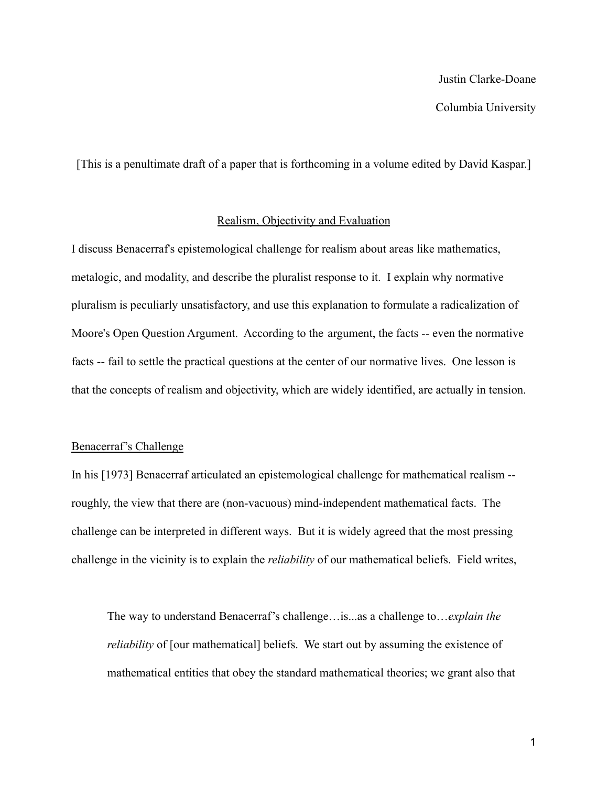[This is a penultimate draft of a paper that is forthcoming in a volume edited by David Kaspar.]

### Realism, Objectivity and Evaluation

I discuss Benacerraf's epistemological challenge for realism about areas like mathematics, metalogic, and modality, and describe the pluralist response to it. I explain why normative pluralism is peculiarly unsatisfactory, and use this explanation to formulate a radicalization of Moore's Open Question Argument. According to the argument, the facts -- even the normative facts -- fail to settle the practical questions at the center of our normative lives. One lesson is that the concepts of realism and objectivity, which are widely identified, are actually in tension.

# Benacerraf's Challenge

In his [1973] Benacerraf articulated an epistemological challenge for mathematical realism - roughly, the view that there are (non-vacuous) mind-independent mathematical facts. The challenge can be interpreted in different ways. But it is widely agreed that the most pressing challenge in the vicinity is to explain the *reliability* of our mathematical beliefs. Field writes,

The way to understand Benacerraf's challenge…is...as a challenge to…*explain the reliability* of [our mathematical] beliefs. We start out by assuming the existence of mathematical entities that obey the standard mathematical theories; we grant also that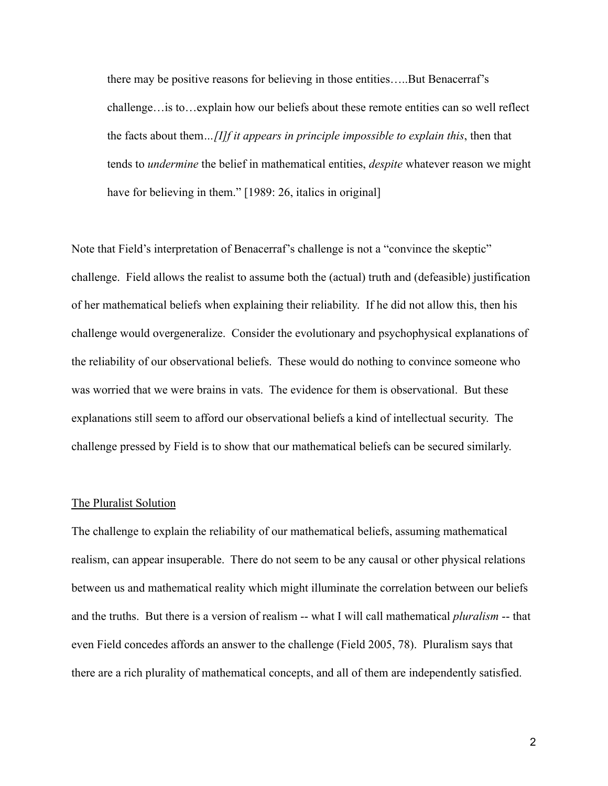there may be positive reasons for believing in those entities…..But Benacerraf's challenge…is to…explain how our beliefs about these remote entities can so well reflect the facts about them*…[I]f it appears in principle impossible to explain this*, then that tends to *undermine* the belief in mathematical entities, *despite* whatever reason we might have for believing in them." [1989: 26, italics in original]

Note that Field's interpretation of Benacerraf's challenge is not a "convince the skeptic" challenge. Field allows the realist to assume both the (actual) truth and (defeasible) justification of her mathematical beliefs when explaining their reliability. If he did not allow this, then his challenge would overgeneralize. Consider the evolutionary and psychophysical explanations of the reliability of our observational beliefs. These would do nothing to convince someone who was worried that we were brains in vats. The evidence for them is observational. But these explanations still seem to afford our observational beliefs a kind of intellectual security. The challenge pressed by Field is to show that our mathematical beliefs can be secured similarly.

#### The Pluralist Solution

The challenge to explain the reliability of our mathematical beliefs, assuming mathematical realism, can appear insuperable. There do not seem to be any causal or other physical relations between us and mathematical reality which might illuminate the correlation between our beliefs and the truths. But there is a version of realism -- what I will call mathematical *pluralism* -- that even Field concedes affords an answer to the challenge (Field 2005, 78). Pluralism says that there are a rich plurality of mathematical concepts, and all of them are independently satisfied.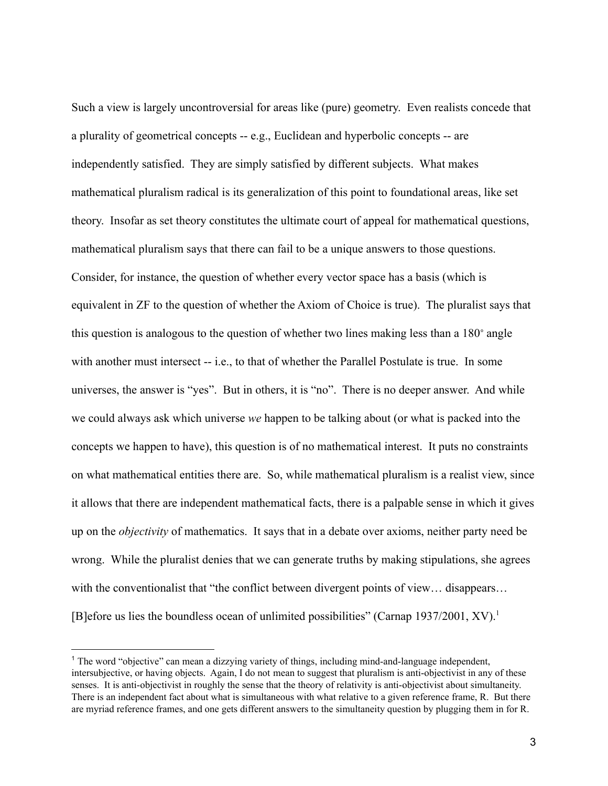Such a view is largely uncontroversial for areas like (pure) geometry. Even realists concede that a plurality of geometrical concepts -- e.g., Euclidean and hyperbolic concepts -- are independently satisfied. They are simply satisfied by different subjects. What makes mathematical pluralism radical is its generalization of this point to foundational areas, like set theory. Insofar as set theory constitutes the ultimate court of appeal for mathematical questions, mathematical pluralism says that there can fail to be a unique answers to those questions. Consider, for instance, the question of whether every vector space has a basis (which is equivalent in ZF to the question of whether the Axiom of Choice is true). The pluralist says that this question is analogous to the question of whether two lines making less than a 180° angle with another must intersect -- i.e., to that of whether the Parallel Postulate is true. In some universes, the answer is "yes". But in others, it is "no". There is no deeper answer. And while we could always ask which universe *we* happen to be talking about (or what is packed into the concepts we happen to have), this question is of no mathematical interest. It puts no constraints on what mathematical entities there are. So, while mathematical pluralism is a realist view, since it allows that there are independent mathematical facts, there is a palpable sense in which it gives up on the *objectivity* of mathematics. It says that in a debate over axioms, neither party need be wrong. While the pluralist denies that we can generate truths by making stipulations, she agrees with the conventionalist that "the conflict between divergent points of view... disappears... [B]efore us lies the boundless ocean of unlimited possibilities" (Carnap 1937/2001, XV).<sup>1</sup>

<sup>1</sup> The word "objective" can mean a dizzying variety of things, including mind-and-language independent, intersubjective, or having objects. Again, I do not mean to suggest that pluralism is anti-objectivist in any of these senses. It is anti-objectivist in roughly the sense that the theory of relativity is anti-objectivist about simultaneity. There is an independent fact about what is simultaneous with what relative to a given reference frame, R. But there are myriad reference frames, and one gets different answers to the simultaneity question by plugging them in for R.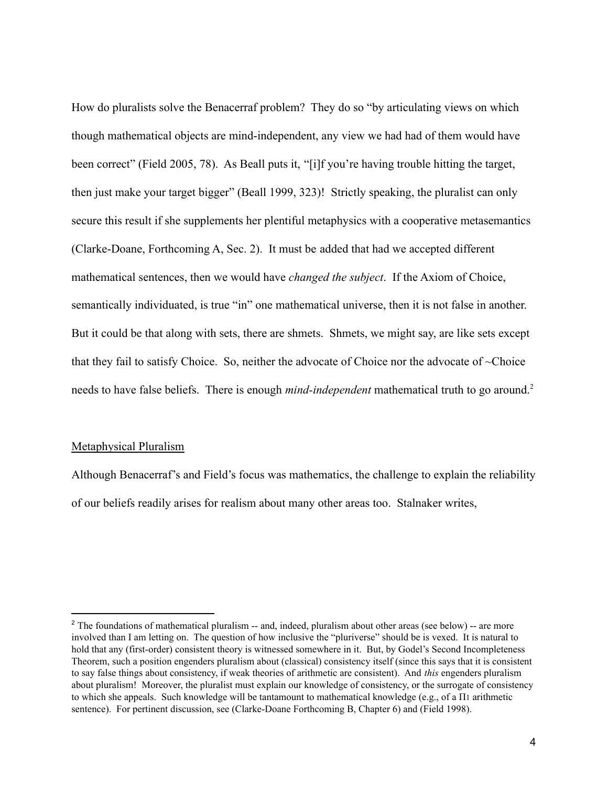How do pluralists solve the Benacerraf problem? They do so "by articulating views on which though mathematical objects are mind-independent, any view we had had of them would have been correct" (Field 2005, 78). As Beall puts it, "[i]f you're having trouble hitting the target, then just make your target bigger" (Beall 1999, 323)! Strictly speaking, the pluralist can only secure this result if she supplements her plentiful metaphysics with a cooperative metasemantics (Clarke-Doane, Forthcoming A, Sec. 2). It must be added that had we accepted different mathematical sentences, then we would have *changed the subject*. If the Axiom of Choice, semantically individuated, is true "in" one mathematical universe, then it is not false in another. But it could be that along with sets, there are shmets. Shmets, we might say, are like sets except that they fail to satisfy Choice. So, neither the advocate of Choice nor the advocate of ~Choice needs to have false beliefs. There is enough *mind-independent* mathematical truth to go around.<sup>2</sup>

#### Metaphysical Pluralism

Although Benacerraf's and Field's focus was mathematics, the challenge to explain the reliability of our beliefs readily arises for realism about many other areas too. Stalnaker writes,

<sup>&</sup>lt;sup>2</sup> The foundations of mathematical pluralism -- and, indeed, pluralism about other areas (see below) -- are more involved than I am letting on. The question of how inclusive the "pluriverse" should be is vexed. It is natural to hold that any (first-order) consistent theory is witnessed somewhere in it. But, by Godel's Second Incompleteness Theorem, such a position engenders pluralism about (classical) consistency itself (since this says that it is consistent to say false things about consistency, if weak theories of arithmetic are consistent). And *this* engenders pluralism about pluralism! Moreover, the pluralist must explain our knowledge of consistency, or the surrogate of consistency to which she appeals. Such knowledge will be tantamount to mathematical knowledge (e.g., of a Π1 arithmetic sentence). For pertinent discussion, see (Clarke-Doane Forthcoming B, Chapter 6) and (Field 1998).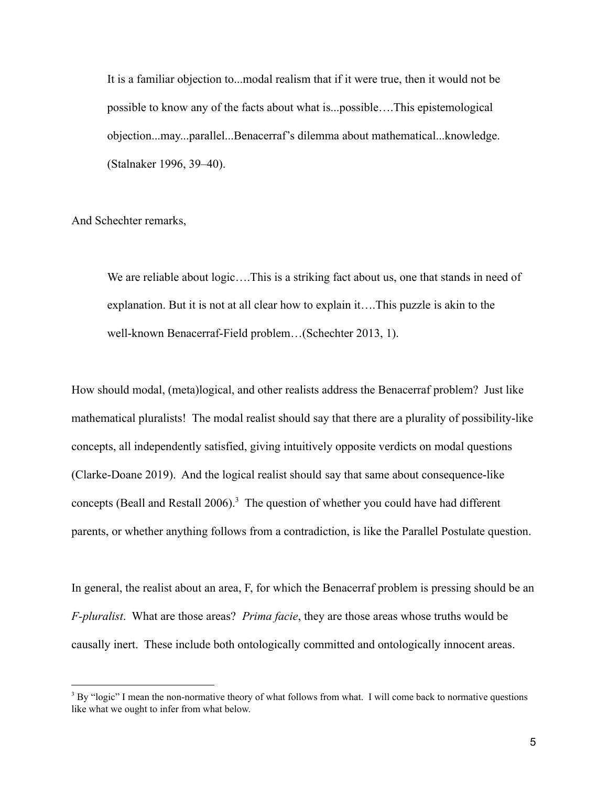It is a familiar objection to...modal realism that if it were true, then it would not be possible to know any of the facts about what is...possible….This epistemological objection...may...parallel...Benacerraf's dilemma about mathematical...knowledge. (Stalnaker 1996, 39–40).

And Schechter remarks,

We are reliable about logic....This is a striking fact about us, one that stands in need of explanation. But it is not at all clear how to explain it….This puzzle is akin to the well-known Benacerraf-Field problem…(Schechter 2013, 1).

How should modal, (meta)logical, and other realists address the Benacerraf problem? Just like mathematical pluralists! The modal realist should say that there are a plurality of possibility-like concepts, all independently satisfied, giving intuitively opposite verdicts on modal questions (Clarke-Doane 2019). And the logical realist should say that same about consequence-like concepts (Beall and Restall 2006).<sup>3</sup> The question of whether you could have had different parents, or whether anything follows from a contradiction, is like the Parallel Postulate question.

In general, the realist about an area, F, for which the Benacerraf problem is pressing should be an *F-pluralist*. What are those areas? *Prima facie*, they are those areas whose truths would be causally inert. These include both ontologically committed and ontologically innocent areas.

<sup>&</sup>lt;sup>3</sup> By "logic" I mean the non-normative theory of what follows from what. I will come back to normative questions like what we ought to infer from what below.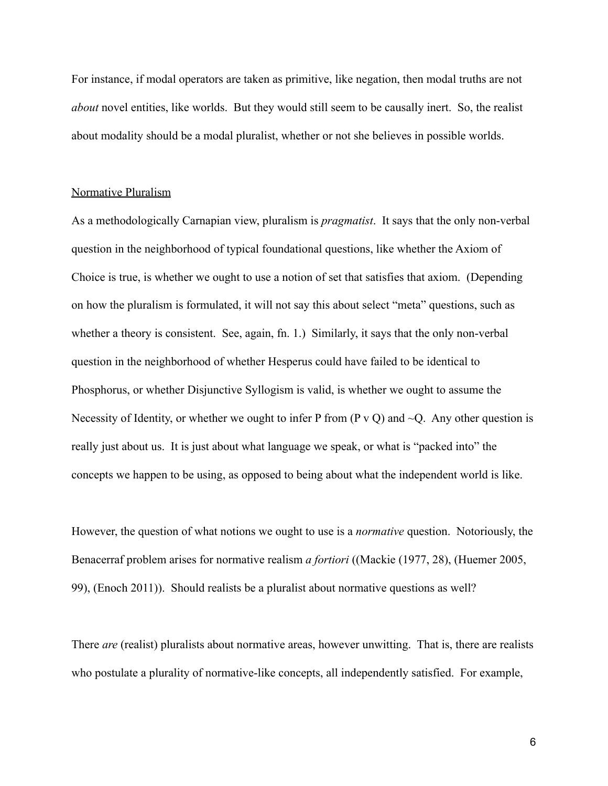For instance, if modal operators are taken as primitive, like negation, then modal truths are not *about* novel entities, like worlds. But they would still seem to be causally inert. So, the realist about modality should be a modal pluralist, whether or not she believes in possible worlds.

# Normative Pluralism

As a methodologically Carnapian view, pluralism is *pragmatist*. It says that the only non-verbal question in the neighborhood of typical foundational questions, like whether the Axiom of Choice is true, is whether we ought to use a notion of set that satisfies that axiom. (Depending on how the pluralism is formulated, it will not say this about select "meta" questions, such as whether a theory is consistent. See, again, fn. 1.) Similarly, it says that the only non-verbal question in the neighborhood of whether Hesperus could have failed to be identical to Phosphorus, or whether Disjunctive Syllogism is valid, is whether we ought to assume the Necessity of Identity, or whether we ought to infer P from  $(P \vee Q)$  and  $\sim Q$ . Any other question is really just about us. It is just about what language we speak, or what is "packed into" the concepts we happen to be using, as opposed to being about what the independent world is like.

However, the question of what notions we ought to use is a *normative* question. Notoriously, the Benacerraf problem arises for normative realism *a fortiori* ((Mackie (1977, 28), (Huemer 2005, 99), (Enoch 2011)). Should realists be a pluralist about normative questions as well?

There *are* (realist) pluralists about normative areas, however unwitting. That is, there are realists who postulate a plurality of normative-like concepts, all independently satisfied. For example,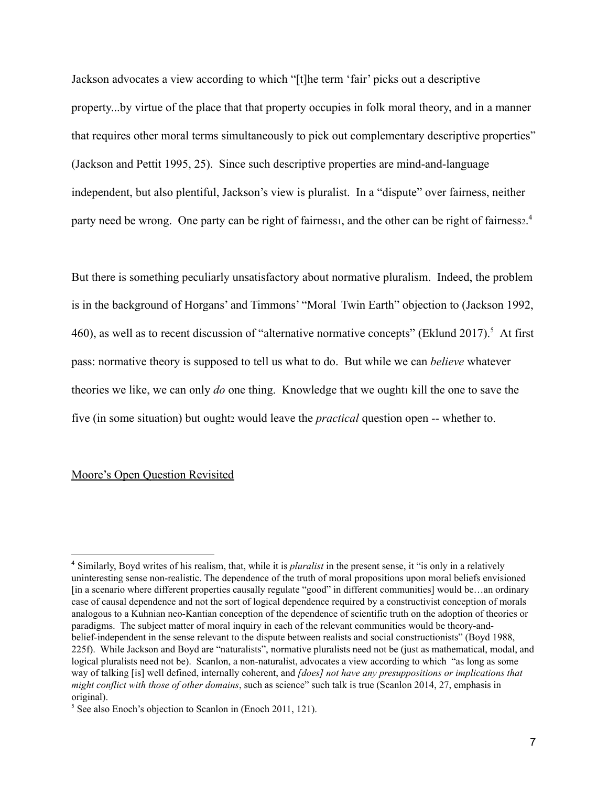Jackson advocates a view according to which "[t]he term 'fair' picks out a descriptive property...by virtue of the place that that property occupies in folk moral theory, and in a manner that requires other moral terms simultaneously to pick out complementary descriptive properties" (Jackson and Pettit 1995, 25). Since such descriptive properties are mind-and-language independent, but also plentiful, Jackson's view is pluralist. In a "dispute" over fairness, neither party need be wrong. One party can be right of fairness<sub>1</sub>, and the other can be right of fairness<sub>2</sub>.<sup>4</sup>

But there is something peculiarly unsatisfactory about normative pluralism. Indeed, the problem is in the background of Horgans' and Timmons' "Moral Twin Earth" objection to (Jackson 1992, 460), as well as to recent discussion of "alternative normative concepts" (Eklund 2017).<sup>5</sup> At first pass: normative theory is supposed to tell us what to do. But while we can *believe* whatever theories we like, we can only *do* one thing. Knowledge that we ought<sub>1</sub> kill the one to save the five (in some situation) but ought<sup>2</sup> would leave the *practical* question open -- whether to.

# Moore's Open Question Revisited

<sup>4</sup> Similarly, Boyd writes of his realism, that, while it is *pluralist* in the present sense, it "is only in a relatively uninteresting sense non-realistic. The dependence of the truth of moral propositions upon moral beliefs envisioned [in a scenario where different properties causally regulate "good" in different communities] would be…an ordinary case of causal dependence and not the sort of logical dependence required by a constructivist conception of morals analogous to a Kuhnian neo-Kantian conception of the dependence of scientific truth on the adoption of theories or paradigms. The subject matter of moral inquiry in each of the relevant communities would be theory-andbelief-independent in the sense relevant to the dispute between realists and social constructionists" (Boyd 1988, 225f). While Jackson and Boyd are "naturalists", normative pluralists need not be (just as mathematical, modal, and logical pluralists need not be). Scanlon, a non-naturalist, advocates a view according to which "as long as some way of talking [is] well defined, internally coherent, and *[does] not have any presuppositions or implications that might conflict with those of other domains*, such as science" such talk is true (Scanlon 2014, 27, emphasis in original).

<sup>&</sup>lt;sup>5</sup> See also Enoch's objection to Scanlon in (Enoch 2011, 121).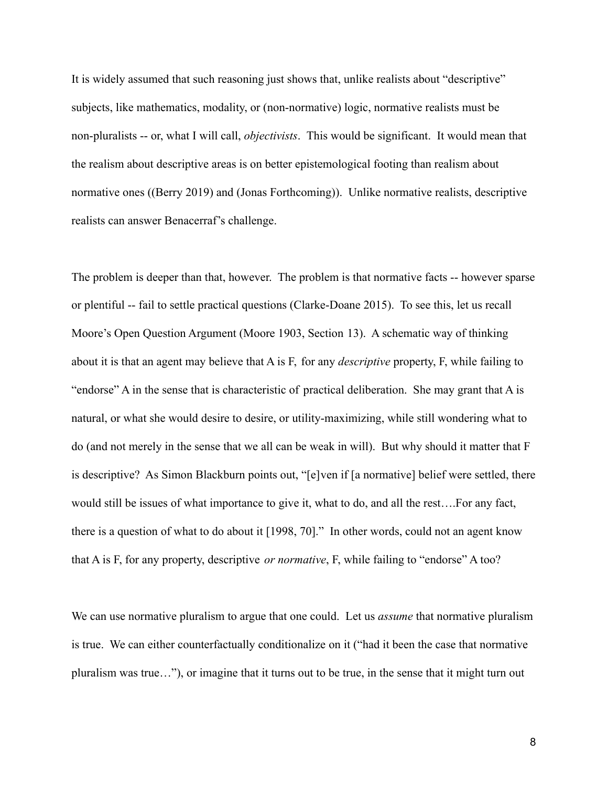It is widely assumed that such reasoning just shows that, unlike realists about "descriptive" subjects, like mathematics, modality, or (non-normative) logic, normative realists must be non-pluralists -- or, what I will call, *objectivists*. This would be significant. It would mean that the realism about descriptive areas is on better epistemological footing than realism about normative ones ((Berry 2019) and (Jonas Forthcoming)). Unlike normative realists, descriptive realists can answer Benacerraf's challenge.

The problem is deeper than that, however. The problem is that normative facts -- however sparse or plentiful -- fail to settle practical questions (Clarke-Doane 2015). To see this, let us recall Moore's Open Question Argument (Moore 1903, Section 13). A schematic way of thinking about it is that an agent may believe that A is F, for any *descriptive* property, F, while failing to "endorse" A in the sense that is characteristic of practical deliberation. She may grant that A is natural, or what she would desire to desire, or utility-maximizing, while still wondering what to do (and not merely in the sense that we all can be weak in will). But why should it matter that F is descriptive? As Simon Blackburn points out, "[e]ven if [a normative] belief were settled, there would still be issues of what importance to give it, what to do, and all the rest….For any fact, there is a question of what to do about it [1998, 70]." In other words, could not an agent know that A is F, for any property, descriptive *or normative*, F, while failing to "endorse" A too?

We can use normative pluralism to argue that one could. Let us *assume* that normative pluralism is true. We can either counterfactually conditionalize on it ("had it been the case that normative pluralism was true…"), or imagine that it turns out to be true, in the sense that it might turn out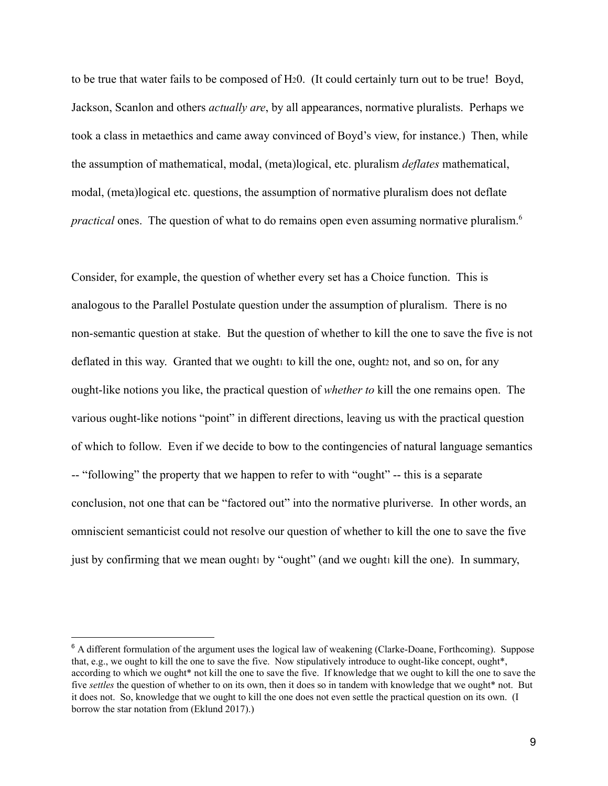to be true that water fails to be composed of H20. (It could certainly turn out to be true! Boyd, Jackson, Scanlon and others *actually are*, by all appearances, normative pluralists. Perhaps we took a class in metaethics and came away convinced of Boyd's view, for instance.) Then, while the assumption of mathematical, modal, (meta)logical, etc. pluralism *deflates* mathematical, modal, (meta)logical etc. questions, the assumption of normative pluralism does not deflate *practical* ones. The question of what to do remains open even assuming normative pluralism.<sup>6</sup>

Consider, for example, the question of whether every set has a Choice function. This is analogous to the Parallel Postulate question under the assumption of pluralism. There is no non-semantic question at stake. But the question of whether to kill the one to save the five is not deflated in this way. Granted that we ought<sub>1</sub> to kill the one, ought<sub>2</sub> not, and so on, for any ought-like notions you like, the practical question of *whether to* kill the one remains open. The various ought-like notions "point" in different directions, leaving us with the practical question of which to follow. Even if we decide to bow to the contingencies of natural language semantics -- "following" the property that we happen to refer to with "ought" -- this is a separate conclusion, not one that can be "factored out" into the normative pluriverse. In other words, an omniscient semanticist could not resolve our question of whether to kill the one to save the five just by confirming that we mean ought<sub>1</sub> by "ought" (and we ought<sub>1</sub> kill the one). In summary,

 $6$  A different formulation of the argument uses the logical law of weakening (Clarke-Doane, Forthcoming). Suppose that, e.g., we ought to kill the one to save the five. Now stipulatively introduce to ought-like concept, ought\*, according to which we ought\* not kill the one to save the five. If knowledge that we ought to kill the one to save the five *settles* the question of whether to on its own, then it does so in tandem with knowledge that we ought\* not. But it does not. So, knowledge that we ought to kill the one does not even settle the practical question on its own. (I borrow the star notation from (Eklund 2017).)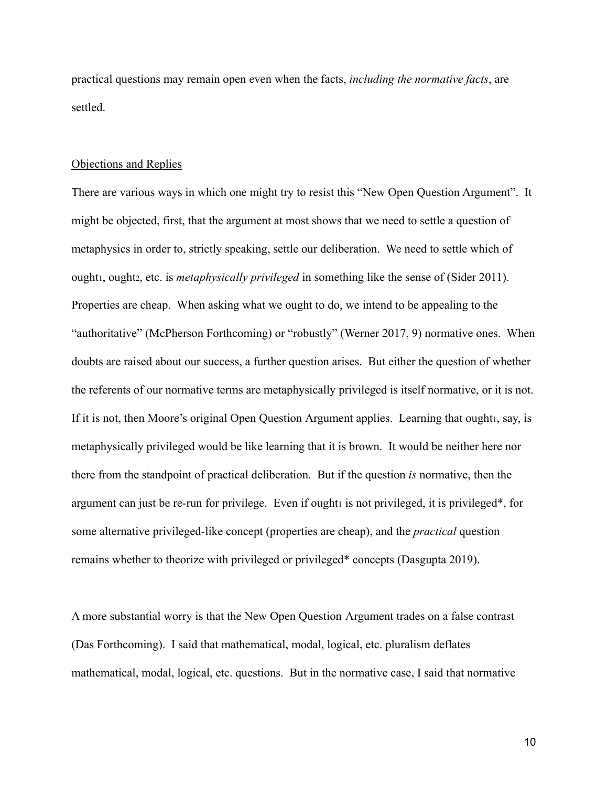practical questions may remain open even when the facts, *including the normative facts*, are settled.

# Objections and Replies

There are various ways in which one might try to resist this "New Open Question Argument". It might be objected, first, that the argument at most shows that we need to settle a question of metaphysics in order to, strictly speaking, settle our deliberation. We need to settle which of ought<sub>1</sub>, ought<sub>2</sub>, etc. is *metaphysically privileged* in something like the sense of (Sider 2011). Properties are cheap. When asking what we ought to do, we intend to be appealing to the "authoritative" (McPherson Forthcoming) or "robustly" (Werner 2017, 9) normative ones. When doubts are raised about our success, a further question arises. But either the question of whether the referents of our normative terms are metaphysically privileged is itself normative, or it is not. If it is not, then Moore's original Open Question Argument applies. Learning that ought<sub>1</sub>, say, is metaphysically privileged would be like learning that it is brown. It would be neither here nor there from the standpoint of practical deliberation. But if the question *is* normative, then the argument can just be re-run for privilege. Even if ought is not privileged, it is privileged\*, for some alternative privileged-like concept (properties are cheap), and the *practical* question remains whether to theorize with privileged or privileged\* concepts (Dasgupta 2019).

A more substantial worry is that the New Open Question Argument trades on a false contrast (Das Forthcoming). I said that mathematical, modal, logical, etc. pluralism deflates mathematical, modal, logical, etc. questions. But in the normative case, I said that normative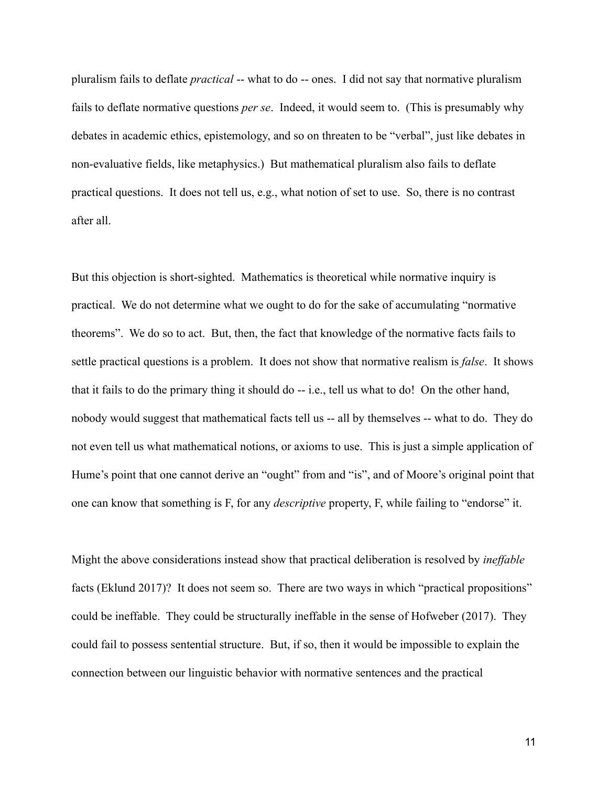pluralism fails to deflate *practical* -- what to do -- ones. I did not say that normative pluralism fails to deflate normative questions *per se*. Indeed, it would seem to. (This is presumably why debates in academic ethics, epistemology, and so on threaten to be "verbal", just like debates in non-evaluative fields, like metaphysics.) But mathematical pluralism also fails to deflate practical questions. It does not tell us, e.g., what notion of set to use. So, there is no contrast after all.

But this objection is short-sighted. Mathematics is theoretical while normative inquiry is practical. We do not determine what we ought to do for the sake of accumulating "normative theorems". We do so to act. But, then, the fact that knowledge of the normative facts fails to settle practical questions is a problem. It does not show that normative realism is *false*. It shows that it fails to do the primary thing it should do -- i.e., tell us what to do! On the other hand, nobody would suggest that mathematical facts tell us -- all by themselves -- what to do. They do not even tell us what mathematical notions, or axioms to use. This is just a simple application of Hume's point that one cannot derive an "ought" from and "is", and of Moore's original point that one can know that something is F, for any *descriptive* property, F, while failing to "endorse" it.

Might the above considerations instead show that practical deliberation is resolved by *ineffable* facts (Eklund 2017)? It does not seem so. There are two ways in which "practical propositions" could be ineffable. They could be structurally ineffable in the sense of Hofweber (2017). They could fail to possess sentential structure. But, if so, then it would be impossible to explain the connection between our linguistic behavior with normative sentences and the practical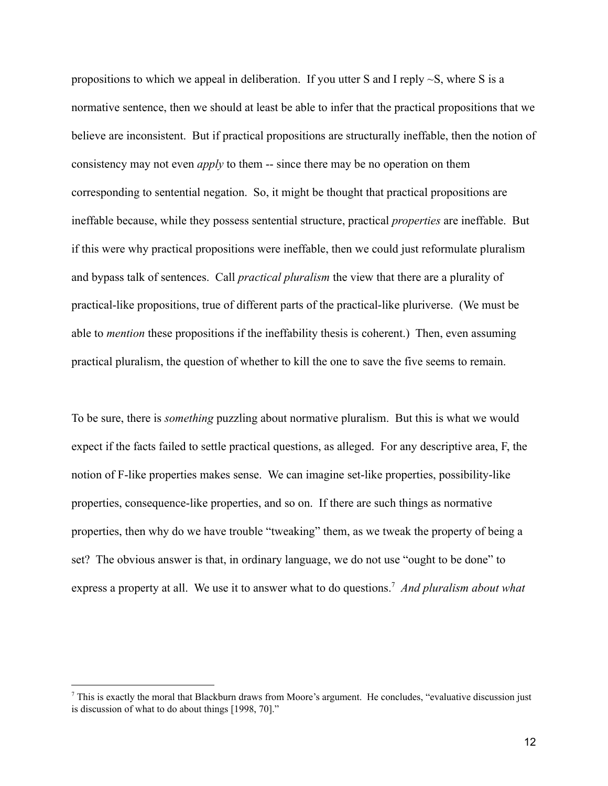propositions to which we appeal in deliberation. If you utter S and I reply  $\sim$ S, where S is a normative sentence, then we should at least be able to infer that the practical propositions that we believe are inconsistent. But if practical propositions are structurally ineffable, then the notion of consistency may not even *apply* to them -- since there may be no operation on them corresponding to sentential negation. So, it might be thought that practical propositions are ineffable because, while they possess sentential structure, practical *properties* are ineffable. But if this were why practical propositions were ineffable, then we could just reformulate pluralism and bypass talk of sentences. Call *practical pluralism* the view that there are a plurality of practical-like propositions, true of different parts of the practical-like pluriverse. (We must be able to *mention* these propositions if the ineffability thesis is coherent.) Then, even assuming practical pluralism, the question of whether to kill the one to save the five seems to remain.

To be sure, there is *something* puzzling about normative pluralism. But this is what we would expect if the facts failed to settle practical questions, as alleged. For any descriptive area, F, the notion of F-like properties makes sense. We can imagine set-like properties, possibility-like properties, consequence-like properties, and so on. If there are such things as normative properties, then why do we have trouble "tweaking" them, as we tweak the property of being a set? The obvious answer is that, in ordinary language, we do not use "ought to be done" to express a property at all. We use it to answer what to do questions.<sup>7</sup> And pluralism about what

<sup>7</sup> This is exactly the moral that Blackburn draws from Moore's argument. He concludes, "evaluative discussion just is discussion of what to do about things [1998, 70]."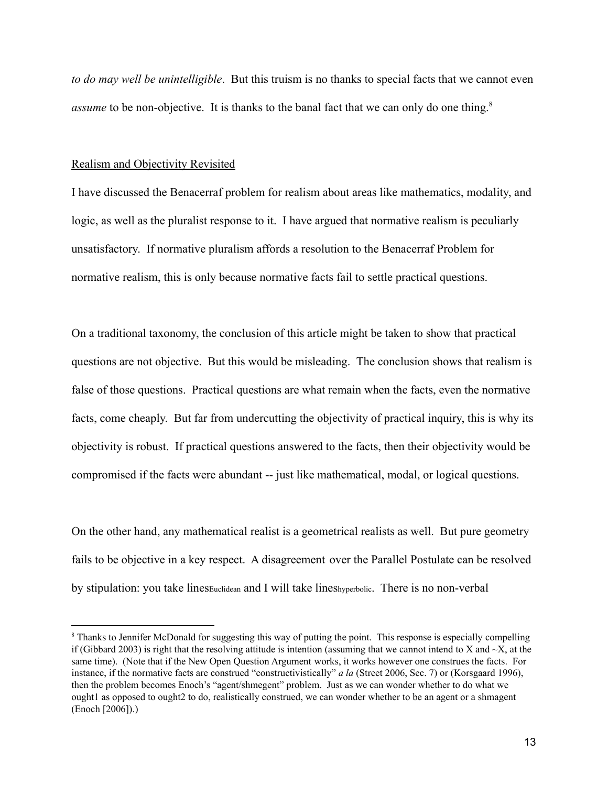*to do may well be unintelligible*. But this truism is no thanks to special facts that we cannot even *assume* to be non-objective. It is thanks to the banal fact that we can only do one thing.<sup>8</sup>

# Realism and Objectivity Revisited

I have discussed the Benacerraf problem for realism about areas like mathematics, modality, and logic, as well as the pluralist response to it. I have argued that normative realism is peculiarly unsatisfactory. If normative pluralism affords a resolution to the Benacerraf Problem for normative realism, this is only because normative facts fail to settle practical questions.

On a traditional taxonomy, the conclusion of this article might be taken to show that practical questions are not objective. But this would be misleading. The conclusion shows that realism is false of those questions. Practical questions are what remain when the facts, even the normative facts, come cheaply. But far from undercutting the objectivity of practical inquiry, this is why its objectivity is robust. If practical questions answered to the facts, then their objectivity would be compromised if the facts were abundant -- just like mathematical, modal, or logical questions.

On the other hand, any mathematical realist is a geometrical realists as well. But pure geometry fails to be objective in a key respect. A disagreement over the Parallel Postulate can be resolved by stipulation: you take linesEuclidean and I will take lineshyperbolic. There is no non-verbal

<sup>&</sup>lt;sup>8</sup> Thanks to Jennifer McDonald for suggesting this way of putting the point. This response is especially compelling if (Gibbard 2003) is right that the resolving attitude is intention (assuming that we cannot intend to X and  $\sim$ X, at the same time). (Note that if the New Open Question Argument works, it works however one construes the facts. For instance, if the normative facts are construed "constructivistically" *a la* (Street 2006, Sec. 7) or (Korsgaard 1996), then the problem becomes Enoch's "agent/shmegent" problem. Just as we can wonder whether to do what we ought1 as opposed to ought2 to do, realistically construed, we can wonder whether to be an agent or a shmagent (Enoch [2006]).)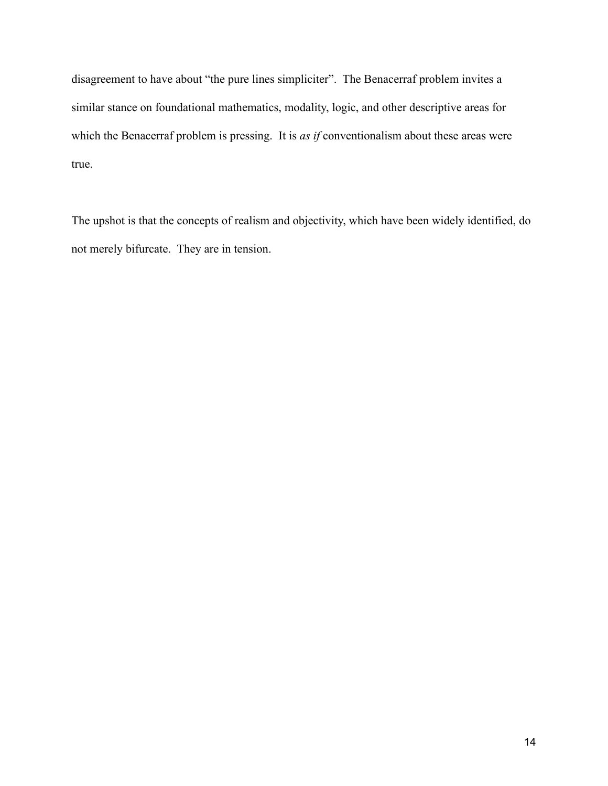disagreement to have about "the pure lines simpliciter". The Benacerraf problem invites a similar stance on foundational mathematics, modality, logic, and other descriptive areas for which the Benacerraf problem is pressing. It is *as if* conventionalism about these areas were true.

The upshot is that the concepts of realism and objectivity, which have been widely identified, do not merely bifurcate. They are in tension.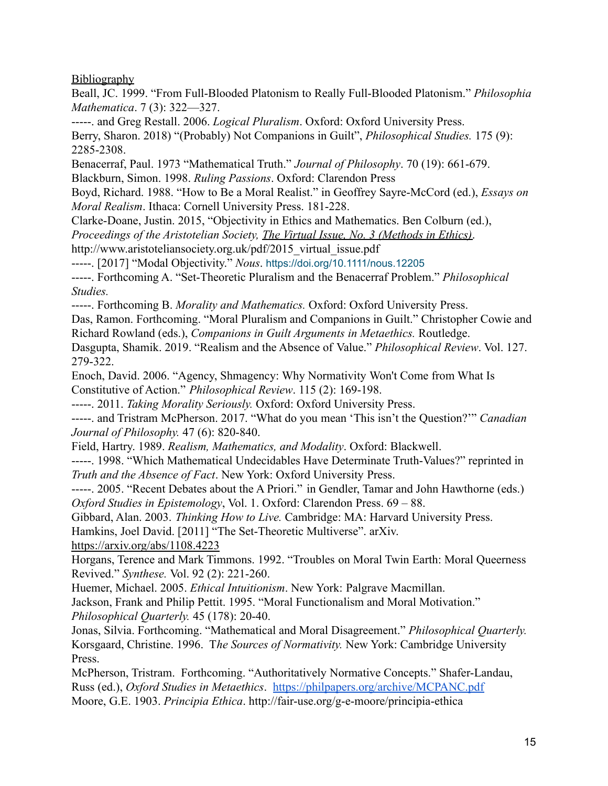Bibliography

Beall, JC. 1999. "From Full-Blooded Platonism to Really Full-Blooded Platonism." *Philosophia Mathematica*. 7 (3): 322—327.

-----. and Greg Restall. 2006. *Logical Pluralism*. Oxford: Oxford University Press.

Berry, Sharon. 2018) "(Probably) Not Companions in Guilt", *Philosophical Studies.* 175 (9): 2285-2308.

Benacerraf, Paul. 1973 "Mathematical Truth." *Journal of Philosophy*. 70 (19): 661-679.

Blackburn, Simon. 1998. *Ruling Passions*. Oxford: Clarendon Press

Boyd, Richard. 1988. "How to Be a Moral Realist." in Geoffrey Sayre-McCord (ed.), *Essays on Moral Realism*. Ithaca: Cornell University Press. 181-228.

Clarke-Doane, Justin. 2015, "Objectivity in Ethics and Mathematics. Ben Colburn (ed.),

*Proceedings of the Aristotelian Society, The Virtual [Issue, No. 3 \(Methods in Ethics\)](https://www.aristoteliansociety.org.uk/the-virtual-issue/the-virtual-issue-no-3/)*.

http://www.aristoteliansociety.org.uk/pdf/2015\_virtual\_issue.pdf

-----. [2017] "Modal Objectivity." *Nous*. <https://doi.org/10.1111/nous.12205>

-----. Forthcoming A. "Set-Theoretic Pluralism and the Benacerraf Problem." *Philosophical Studies.*

-----. Forthcoming B. *Morality and Mathematics.* Oxford: Oxford University Press.

Das, Ramon. Forthcoming. "Moral Pluralism and Companions in Guilt." Christopher Cowie and Richard Rowland (eds.), *Companions in Guilt Arguments in Metaethics.* Routledge.

Dasgupta, Shamik. 2019. "Realism and the Absence of Value." *Philosophical Review*. Vol. 127. 279-322.

Enoch, David. 2006. "Agency, Shmagency: Why Normativity Won't Come from What Is Constitutive of Action." *Philosophical Review*. 115 (2): 169-198.

-----. 2011. *Taking Morality Seriously.* Oxford: Oxford University Press.

-----. and Tristram McPherson. 2017. "What do you mean 'This isn't the Question?'" *Canadian Journal of Philosophy.* 47 (6): 820-840.

Field, Hartry. 1989. *Realism, Mathematics, and Modality*. Oxford: Blackwell.

-----. 1998. "Which Mathematical Undecidables Have Determinate Truth-Values?" reprinted in *Truth and the Absence of Fact*. New York: Oxford University Press.

-----. 2005. "Recent Debates about the A Priori." in Gendler, Tamar and John Hawthorne (eds.) *Oxford Studies in Epistemology*, Vol. 1. Oxford: Clarendon Press. 69 – 88.

Gibbard, Alan. 2003. *Thinking How to Live.* Cambridge: MA: Harvard University Press.

Hamkins, Joel David. [2011] "The Set-Theoretic Multiverse". arXiv.

<https://arxiv.org/abs/1108.4223>

Horgans, Terence and Mark Timmons. 1992. "Troubles on Moral Twin Earth: Moral Queerness Revived." *Synthese.* Vol. 92 (2): 221-260.

Huemer, Michael. 2005. *Ethical Intuitionism*. New York: Palgrave Macmillan.

Jackson, Frank and Philip Pettit. 1995. "Moral Functionalism and Moral Motivation." *Philosophical Quarterly.* 45 (178): 20-40.

Jonas, Silvia. Forthcoming. "Mathematical and Moral Disagreement." *Philosophical Quarterly.* Korsgaard, Christine. 1996. T*he Sources of Normativity.* New York: Cambridge University Press.

McPherson, Tristram. Forthcoming. "Authoritatively Normative Concepts." Shafer-Landau, Russ (ed.), *Oxford Studies in Metaethics*. <https://philpapers.org/archive/MCPANC.pdf> Moore, G.E. 1903. *Principia Ethica*. http://fair-use.org/g-e-moore/principia-ethica